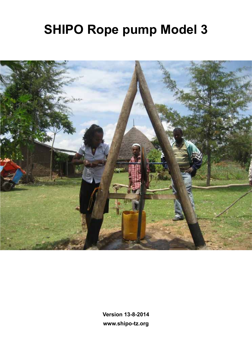## **SHIPO Rope pump Model 3**



**Version 13-8-2014 www.shipo-tz.org**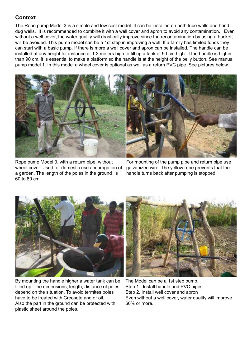## **Context**

The Rope pump Model 3 is a simple and low cost model. It can be installed on both tube wells and hand dug wells. It is recommended to combine it with a well cover and apron to avoid any contamination. Even without a well cover, the water quality will drastically improve since the recontamination by using a bucket, will be avoided. This pump model can be a 1st step in improving a well. If a family has limited funds they can start with a basic pump. If there is more a well cover and apron can be installed. The handle can be installed at any height for instance at 1.3 meters high to fill up a tank of 90 cm high. If the handle is higher than 90 cm, it is essential to make a platform so the handle is at the height of the belly button. See manual pump model 1. In this model a wheel cover is optional as well as a return PVC pipe. See pictures below.





Rope pump Model 3, with a return pipe, without wheel cover. Used for domestic use and irrigation of a garden. The length of the poles in the ground is 60 to 80 cm.

For mounting of the pump pipe and return pipe use galvanized wire. The yellow rope prevents that the handle turns back after pumping is stopped.



By mounting the handle higher a water tank can be filled up. The dimensions; length, distance of poles depend on the situation. To avoid termites poles have to be treated with Creosote and or oil. Also the part in the ground can be protected with plastic sheet around the poles.



The Model can be a 1st step pump. Step 1. Install handle and PVC pipes Step 2. Install well cover and apron Even without a well cover, water quality will improve 60% or more.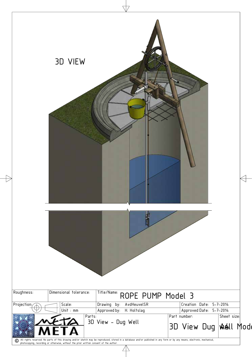|              | 3D VIEW                |                                    |                                                        |  |
|--------------|------------------------|------------------------------------|--------------------------------------------------------|--|
|              |                        |                                    |                                                        |  |
| Roughness:   | Dimensional tolerance: | Title/Name: ROPE PUMP Model 3      |                                                        |  |
| Projection:/ | Scale:                 | Drawing by: AvdHeuvelSR            | Creation Date: 5-7-2014                                |  |
|              | Unit $:$ mm            | Approved by: H. Holtslag<br>Parts: | Approved Date: 5-7-2014<br>Part number:<br>Sheet size: |  |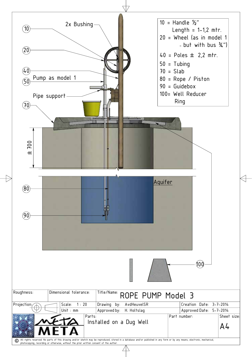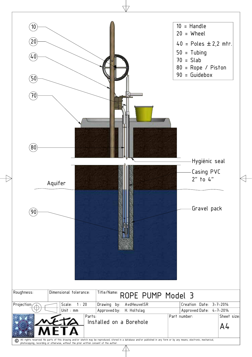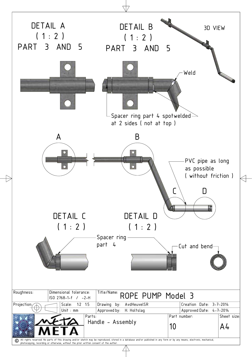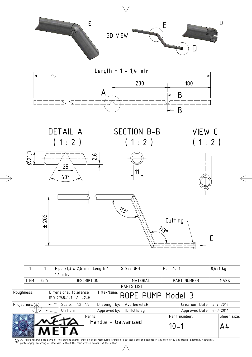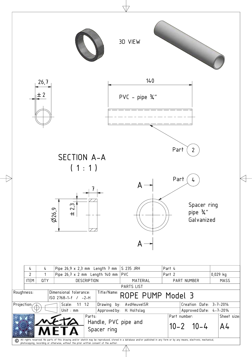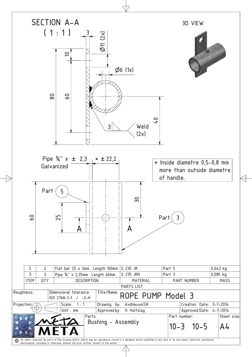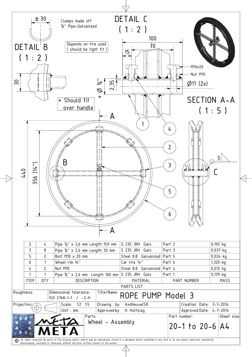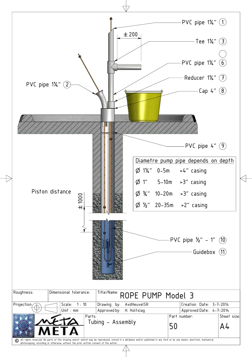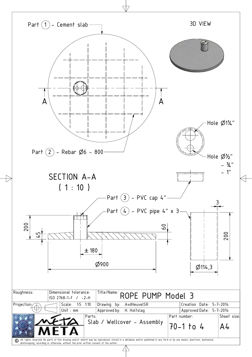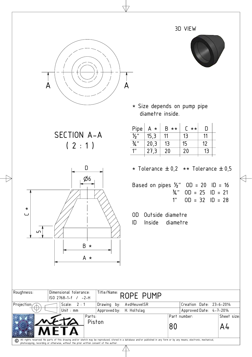|                           |                                                                                                                          |                                                                                                                                                                                | 3D VIEW                                                                                   |                               |
|---------------------------|--------------------------------------------------------------------------------------------------------------------------|--------------------------------------------------------------------------------------------------------------------------------------------------------------------------------|-------------------------------------------------------------------------------------------|-------------------------------|
| A                         | A                                                                                                                        |                                                                                                                                                                                |                                                                                           |                               |
|                           |                                                                                                                          | * Size depends on pump pipe<br>diametre inside.                                                                                                                                |                                                                                           |                               |
|                           | SECTION A-A<br>(2:1)                                                                                                     | $B \star \star$<br>Pipe<br>$A \star$<br>$\overline{\frac{1}{2}}$<br>15,3<br>11<br>$\frac{3}{4}$ "<br>13<br>20,3<br>$1^{\prime\prime}$<br>20<br>27,3                            | $\begin{bmatrix} * & * \end{bmatrix}$<br>$\mathsf{D}$<br>13<br>11<br>15<br>12<br>20<br>13 |                               |
| $\star$<br>$\cup$<br>ഥ    | D<br>Ø6<br>$B \star$<br>A *                                                                                              | * Tolerance $\pm 0.2$ ** Tolerance $\pm 0.5$<br>Based on pipes $\frac{1}{2}$ " OD = 20 ID = 16<br>¾"<br>1 <sup>''</sup><br>Outside diametre<br>OD.<br>ID<br>Inside<br>diametre | $OD = 25$ $ID = 21$<br>$OD = 32$ $ID = 28$                                                |                               |
| Roughness:<br>Projection: | Dimensional tolerance:<br>ISO 2768-1-f / -2-H<br>2:1<br>Drawing by:<br>Scale:<br>Unit : $mm$<br>Approved by: H. Holtslag | Title/Name: ROPE PUMP<br>AvdHeuvelSR                                                                                                                                           | Creation Date: 23-6-2014<br>Approved Date: 4-7-2014                                       |                               |
|                           | Parts:<br>Piston                                                                                                         | 80                                                                                                                                                                             | Part number:                                                                              | Sheet size:<br>A <sup>L</sup> |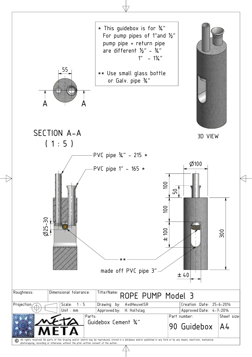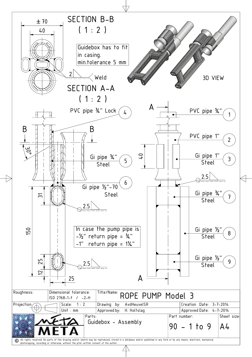